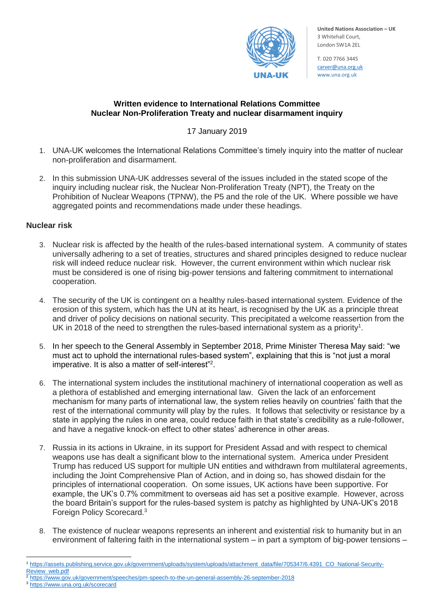

**United Nations Association – UK** 3 Whitehall Court, London SW1A 2EL

T. 020 7766 344[5](mailto:carver@una.org.uk) [carver@una.org.uk](mailto:carver@una.org.uk) www.una.org.uk

### **Written evidence to International Relations Committee Nuclear Non-Proliferation Treaty and nuclear disarmament inquiry**

## 17 January 2019

- 1. UNA-UK welcomes the International Relations Committee's timely inquiry into the matter of nuclear non-proliferation and disarmament.
- 2. In this submission UNA-UK addresses several of the issues included in the stated scope of the inquiry including nuclear risk, the Nuclear Non-Proliferation Treaty (NPT), the Treaty on the Prohibition of Nuclear Weapons (TPNW), the P5 and the role of the UK. Where possible we have aggregated points and recommendations made under these headings.

### **Nuclear risk**

- 3. Nuclear risk is affected by the health of the rules-based international system. A community of states universally adhering to a set of treaties, structures and shared principles designed to reduce nuclear risk will indeed reduce nuclear risk. However, the current environment within which nuclear risk must be considered is one of rising big-power tensions and faltering commitment to international cooperation.
- 4. The security of the UK is contingent on a healthy rules-based international system. Evidence of the erosion of this system, which has the UN at its heart, is recognised by the UK as a principle threat and driver of policy decisions on national security. This precipitated a welcome reassertion from the UK in 2018 of the need to strengthen the rules-based international system as a priority<sup>1</sup>.
- 5. In her speech to the General Assembly in September 2018, Prime Minister Theresa May said: "we must act to uphold the international rules-based system", explaining that this is "not just a moral imperative. It is also a matter of self-interest"<sup>2</sup>.
- 6. The international system includes the institutional machinery of international cooperation as well as a plethora of established and emerging international law. Given the lack of an enforcement mechanism for many parts of international law, the system relies heavily on countries' faith that the rest of the international community will play by the rules. It follows that selectivity or resistance by a state in applying the rules in one area, could reduce faith in that state's credibility as a rule-follower, and have a negative knock-on effect to other states' adherence in other areas.
- 7. Russia in its actions in Ukraine, in its support for President Assad and with respect to chemical weapons use has dealt a significant blow to the international system. America under President Trump has reduced US support for multiple UN entities and withdrawn from multilateral agreements, including the Joint Comprehensive Plan of Action, and in doing so, has showed disdain for the principles of international cooperation. On some issues, UK actions have been supportive. For example, the UK's 0.7% commitment to overseas aid has set a positive example. However, across the board Britain's support for the rules-based system is patchy as highlighted by UNA-UK's 2018 Foreign Policy Scorecard.<sup>3</sup>
- 8. The existence of nuclear weapons represents an inherent and existential risk to humanity but in an environment of faltering faith in the international system – in part a symptom of big-power tensions –
- $\overline{a}$ <sup>1</sup> [https://assets.publishing.service.gov.uk/government/uploads/system/uploads/attachment\\_data/file/705347/6.4391\\_CO\\_National-Security-](https://assets.publishing.service.gov.uk/government/uploads/system/uploads/attachment_data/file/705347/6.4391_CO_National-Security-Review_web.pdf)[Review\\_web.pdf](https://assets.publishing.service.gov.uk/government/uploads/system/uploads/attachment_data/file/705347/6.4391_CO_National-Security-Review_web.pdf)
- <sup>2</sup> <https://www.gov.uk/government/speeches/pm-speech-to-the-un-general-assembly-26-september-2018>
- <sup>3</sup> <https://www.una.org.uk/scorecard>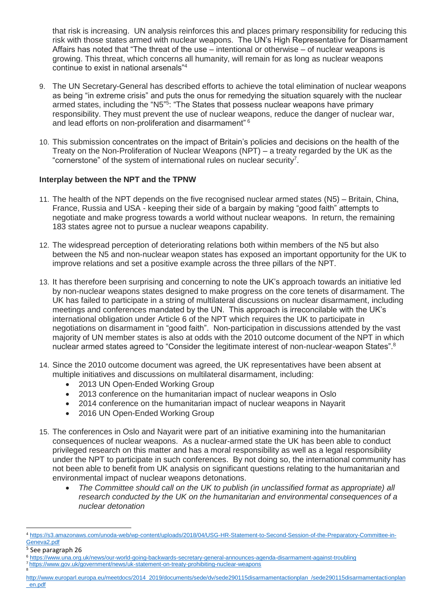that risk is increasing. UN analysis reinforces this and places primary responsibility for reducing this risk with those states armed with nuclear weapons. The UN's High Representative for Disarmament Affairs has noted that "The threat of the use – intentional or otherwise – of nuclear weapons is growing. This threat, which concerns all humanity, will remain for as long as nuclear weapons continue to exist in national arsenals"<sup>4</sup>

- 9. The UN Secretary-General has described efforts to achieve the total elimination of nuclear weapons as being "in extreme crisis" and puts the onus for remedying the situation squarely with the nuclear armed states, including the "N5"<sup>5</sup>: "The States that possess nuclear weapons have primary responsibility. They must prevent the use of nuclear weapons, reduce the danger of nuclear war, and lead efforts on non-proliferation and disarmament" <sup>6</sup>
- 10. This submission concentrates on the impact of Britain's policies and decisions on the health of the Treaty on the Non-Proliferation of Nuclear Weapons (NPT) – a treaty regarded by the UK as the "cornerstone" of the system of international rules on nuclear security<sup>7</sup>.

### **Interplay between the NPT and the TPNW**

- 11. The health of the NPT depends on the five recognised nuclear armed states (N5) Britain, China, France, Russia and USA - keeping their side of a bargain by making "good faith" attempts to negotiate and make progress towards a world without nuclear weapons. In return, the remaining 183 states agree not to pursue a nuclear weapons capability.
- 12. The widespread perception of deteriorating relations both within members of the N5 but also between the N5 and non-nuclear weapon states has exposed an important opportunity for the UK to improve relations and set a positive example across the three pillars of the NPT.
- 13. It has therefore been surprising and concerning to note the UK's approach towards an initiative led by non-nuclear weapons states designed to make progress on the core tenets of disarmament. The UK has failed to participate in a string of multilateral discussions on nuclear disarmament, including meetings and conferences mandated by the UN. This approach is irreconcilable with the UK's international obligation under Article 6 of the NPT which requires the UK to participate in negotiations on disarmament in "good faith". Non-participation in discussions attended by the vast majority of UN member states is also at odds with the 2010 outcome document of the NPT in which nuclear armed states agreed to "Consider the legitimate interest of non-nuclear-weapon States".<sup>8</sup>
- 14. Since the 2010 outcome document was agreed, the UK representatives have been absent at multiple initiatives and discussions on multilateral disarmament, including:
	- 2013 UN Open-Ended Working Group
	- 2013 conference on the humanitarian impact of nuclear weapons in Oslo
	- 2014 conference on the humanitarian impact of nuclear weapons in Nayarit
	- 2016 UN Open-Ended Working Group
- 15. The conferences in Oslo and Nayarit were part of an initiative examining into the humanitarian consequences of nuclear weapons. As a nuclear-armed state the UK has been able to conduct privileged research on this matter and has a moral responsibility as well as a legal responsibility under the NPT to participate in such conferences. By not doing so, the international community has not been able to benefit from UK analysis on significant questions relating to the humanitarian and environmental impact of nuclear weapons detonations.
	- *The Committee should call on the UK to publish (in unclassified format as appropriate) all research conducted by the UK on the humanitarian and environmental consequences of a nuclear detonation*

1

[http://www.europarl.europa.eu/meetdocs/2014\\_2019/documents/sede/dv/sede290115disarmamentactionplan\\_/sede290115disarmamentactionplan](http://www.europarl.europa.eu/meetdocs/2014_2019/documents/sede/dv/sede290115disarmamentactionplan_/sede290115disarmamentactionplan_en.pdf) [\\_en.pdf](http://www.europarl.europa.eu/meetdocs/2014_2019/documents/sede/dv/sede290115disarmamentactionplan_/sede290115disarmamentactionplan_en.pdf)

<sup>4</sup> [https://s3.amazonaws.com/unoda-web/wp-content/uploads/2018/04/USG-HR-Statement-to-Second-Session-of-the-Preparatory-Committee-in-](https://s3.amazonaws.com/unoda-web/wp-content/uploads/2018/04/USG-HR-Statement-to-Second-Session-of-the-Preparatory-Committee-in-Geneva2.pdf)[Geneva2.pdf](https://s3.amazonaws.com/unoda-web/wp-content/uploads/2018/04/USG-HR-Statement-to-Second-Session-of-the-Preparatory-Committee-in-Geneva2.pdf)

<sup>5</sup> See paragraph 26

<sup>6</sup> <https://www.una.org.uk/news/our-world-going-backwards-secretary-general-announces-agenda-disarmament-against-troubling>

<sup>&</sup>lt;sup>7</sup> <https://www.gov.uk/government/news/uk-statement-on-treaty-prohibiting-nuclear-weapons><br><sup>8</sup>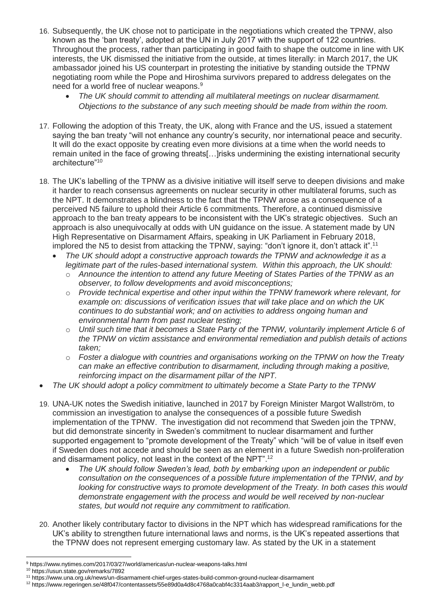- 16. Subsequently, the UK chose not to participate in the negotiations which created the TPNW, also known as the 'ban treaty', adopted at the UN in July 2017 with the support of 122 countries. Throughout the process, rather than participating in good faith to shape the outcome in line with UK interests, the UK dismissed the initiative from the outside, at times literally: in March 2017, the UK ambassador joined his US counterpart in protesting the initiative by standing outside the TPNW negotiating room while the Pope and Hiroshima survivors prepared to address delegates on the need for a world free of nuclear weapons.<sup>9</sup>
	- *The UK should commit to attending all multilateral meetings on nuclear disarmament. Objections to the substance of any such meeting should be made from within the room.*
- 17. Following the adoption of this Treaty, the UK, along with France and the US, issued a statement saying the ban treaty "will not enhance any country's security, nor international peace and security. It will do the exact opposite by creating even more divisions at a time when the world needs to remain united in the face of growing threats[…]risks undermining the existing international security architecture"<sup>10</sup>
- 18. The UK's labelling of the TPNW as a divisive initiative will itself serve to deepen divisions and make it harder to reach consensus agreements on nuclear security in other multilateral forums, such as the NPT. It demonstrates a blindness to the fact that the TPNW arose as a consequence of a perceived N5 failure to uphold their Article 6 commitments. Therefore, a continued dismissive approach to the ban treaty appears to be inconsistent with the UK's strategic objectives. Such an approach is also unequivocally at odds with UN guidance on the issue. A statement made by UN High Representative on Disarmament Affairs, speaking in UK Parliament in February 2018, implored the N5 to desist from attacking the TPNW, saying: "don't ignore it, don't attack it".<sup>11</sup>
	- *The UK should adopt a constructive approach towards the TPNW and acknowledge it as a legitimate part of the rules-based international system. Within this approach, the UK should:*
		- o *Announce the intention to attend any future Meeting of States Parties of the TPNW as an observer, to follow developments and avoid misconceptions;*
		- o *Provide technical expertise and other input within the TPNW framework where relevant, for example on: discussions of verification issues that will take place and on which the UK continues to do substantial work; and on activities to address ongoing human and environmental harm from past nuclear testing;*
		- o *Until such time that it becomes a State Party of the TPNW, voluntarily implement Article 6 of the TPNW on victim assistance and environmental remediation and publish details of actions taken;*
		- o *Foster a dialogue with countries and organisations working on the TPNW on how the Treaty can make an effective contribution to disarmament, including through making a positive, reinforcing impact on the disarmament pillar of the NPT.*
- *The UK should adopt a policy commitment to ultimately become a State Party to the TPNW*
- 19. UNA-UK notes the Swedish initiative, launched in 2017 by Foreign Minister Margot Wallström, to commission an investigation to analyse the consequences of a possible future Swedish implementation of the TPNW. The investigation did not recommend that Sweden join the TPNW, but did demonstrate sincerity in Sweden's commitment to nuclear disarmament and further supported engagement to "promote development of the Treaty" which "will be of value in itself even if Sweden does not accede and should be seen as an element in a future Swedish non-proliferation and disarmament policy, not least in the context of the NPT".<sup>12</sup>
	- *The UK should follow Sweden's lead, both by embarking upon an independent or public consultation on the consequences of a possible future implementation of the TPNW, and by looking for constructive ways to promote development of the Treaty. In both cases this would demonstrate engagement with the process and would be well received by non-nuclear states, but would not require any commitment to ratification.*
- 20. Another likely contributary factor to divisions in the NPT which has widespread ramifications for the UK's ability to strengthen future international laws and norms, is the UK's repeated assertions that the TPNW does not represent emerging customary law. As stated by the UK in a statement

 $\overline{a}$ <sup>9</sup> https://www.nytimes.com/2017/03/27/world/americas/un-nuclear-weapons-talks.html

<sup>10</sup> https://usun.state.gov/remarks/7892

<sup>11</sup> https://www.una.org.uk/news/un-disarmament-chief-urges-states-build-common-ground-nuclear-disarmament

<sup>12</sup> https://www.regeringen.se/48f047/contentassets/55e89d0a4d8c4768a0cabf4c3314aab3/rapport\_l-e\_lundin\_webb.pdf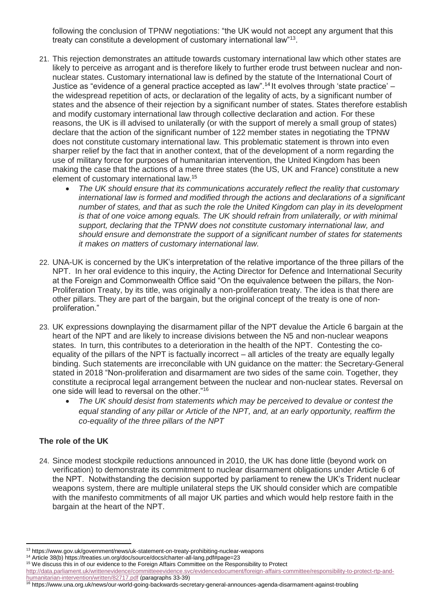following the conclusion of TPNW negotiations: "the UK would not accept any argument that this treaty can constitute a development of customary international law"<sup>13</sup>.

- 21. This rejection demonstrates an attitude towards customary international law which other states are likely to perceive as arrogant and is therefore likely to further erode trust between nuclear and nonnuclear states. Customary international law is defined by the statute of the International Court of Justice as "evidence of a general practice accepted as law".<sup>14</sup> It evolves through 'state practice' – the widespread repetition of acts, or declaration of the legality of acts, by a significant number of states and the absence of their rejection by a significant number of states. States therefore establish and modify customary international law through collective declaration and action. For these reasons, the UK is ill advised to unilaterally (or with the support of merely a small group of states) declare that the action of the significant number of 122 member states in negotiating the TPNW does not constitute customary international law. This problematic statement is thrown into even sharper relief by the fact that in another context, that of the development of a norm regarding the use of military force for purposes of humanitarian intervention, the United Kingdom has been making the case that the actions of a mere three states (the US, UK and France) constitute a new element of customary international law.<sup>15</sup>
	- *The UK should ensure that its communications accurately reflect the reality that customary international law is formed and modified through the actions and declarations of a significant number of states, and that as such the role the United Kingdom can play in its development*  is that of one voice among equals. The UK should refrain from unilaterally, or with minimal *support, declaring that the TPNW does not constitute customary international law, and should ensure and demonstrate the support of a significant number of states for statements it makes on matters of customary international law.*
- 22. UNA-UK is concerned by the UK's interpretation of the relative importance of the three pillars of the NPT. In her oral evidence to this inquiry, the Acting Director for Defence and International Security at the Foreign and Commonwealth Office said "On the equivalence between the pillars, the Non-Proliferation Treaty, by its title, was originally a non-proliferation treaty. The idea is that there are other pillars. They are part of the bargain, but the original concept of the treaty is one of nonproliferation."
- 23. UK expressions downplaying the disarmament pillar of the NPT devalue the Article 6 bargain at the heart of the NPT and are likely to increase divisions between the N5 and non-nuclear weapons states. In turn, this contributes to a deterioration in the health of the NPT. Contesting the coequality of the pillars of the NPT is factually incorrect – all articles of the treaty are equally legally binding. Such statements are irreconcilable with UN guidance on the matter: the Secretary-General stated in 2018 "Non-proliferation and disarmament are two sides of the same coin. Together, they constitute a reciprocal legal arrangement between the nuclear and non-nuclear states. Reversal on one side will lead to reversal on the other."<sup>16</sup>
	- *The UK should desist from statements which may be perceived to devalue or contest the equal standing of any pillar or Article of the NPT, and, at an early opportunity, reaffirm the co-equality of the three pillars of the NPT*

# **The role of the UK**

 $\overline{a}$ 

24. Since modest stockpile reductions announced in 2010, the UK has done little (beyond work on verification) to demonstrate its commitment to nuclear disarmament obligations under Article 6 of the NPT. Notwithstanding the decision supported by parliament to renew the UK's Trident nuclear weapons system, there are multiple unilateral steps the UK should consider which are compatible with the manifesto commitments of all major UK parties and which would help restore faith in the bargain at the heart of the NPT.

[http://data.parliament.uk/writtenevidence/committeeevidence.svc/evidencedocument/foreign-affairs-committee/responsibility-to-protect-rtp-and](http://data.parliament.uk/writtenevidence/committeeevidence.svc/evidencedocument/foreign-affairs-committee/responsibility-to-protect-rtp-and-humanitarian-intervention/written/82717.pdf)[humanitarian-intervention/written/82717.pdf](http://data.parliament.uk/writtenevidence/committeeevidence.svc/evidencedocument/foreign-affairs-committee/responsibility-to-protect-rtp-and-humanitarian-intervention/written/82717.pdf) (paragraphs 33-39)

<sup>13</sup> https://www.gov.uk/government/news/uk-statement-on-treaty-prohibiting-nuclear-weapons

<sup>14</sup> Article 38(b) https://treaties.un.org/doc/source/docs/charter-all-lang.pdf#page=23

<sup>&</sup>lt;sup>15</sup> We discuss this in of our evidence to the Foreign Affairs Committee on the Responsibility to Protect

<sup>16</sup> https://www.una.org.uk/news/our-world-going-backwards-secretary-general-announces-agenda-disarmament-against-troubling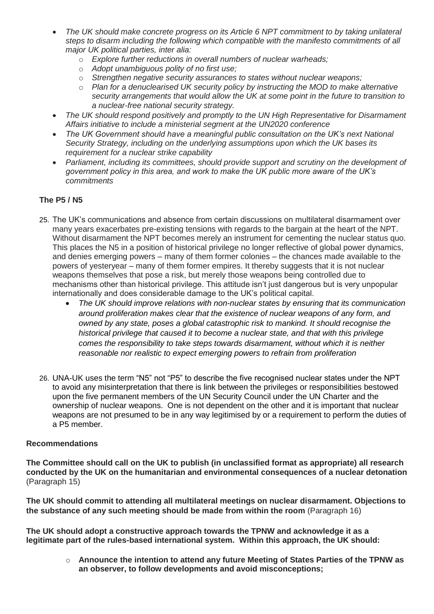- *The UK should make concrete progress on its Article 6 NPT commitment to by taking unilateral steps to disarm including the following which compatible with the manifesto commitments of all major UK political parties, inter alia:*
	- o *Explore further reductions in overall numbers of nuclear warheads;*
	- o *Adopt unambiguous polity of no first use;*
	- o *Strengthen negative security assurances to states without nuclear weapons;*
	- o *Plan for a denuclearised UK security policy by instructing the MOD to make alternative security arrangements that would allow the UK at some point in the future to transition to a nuclear-free national security strategy.*
- *The UK should respond positively and promptly to the UN High Representative for Disarmament Affairs initiative to include a ministerial segment at the UN2020 conference*
- *The UK Government should have a meaningful public consultation on the UK's next National Security Strategy, including on the underlying assumptions upon which the UK bases its requirement for a nuclear strike capability*
- Parliament, including its committees, should provide support and scrutiny on the development of *government policy in this area, and work to make the UK public more aware of the UK's commitments*

### **The P5 / N5**

- 25. The UK's communications and absence from certain discussions on multilateral disarmament over many years exacerbates pre-existing tensions with regards to the bargain at the heart of the NPT. Without disarmament the NPT becomes merely an instrument for cementing the nuclear status quo. This places the N5 in a position of historical privilege no longer reflective of global power dynamics, and denies emerging powers – many of them former colonies – the chances made available to the powers of yesteryear – many of them former empires. It thereby suggests that it is not nuclear weapons themselves that pose a risk, but merely those weapons being controlled due to mechanisms other than historical privilege. This attitude isn't just dangerous but is very unpopular internationally and does considerable damage to the UK's political capital.
	- *The UK should improve relations with non-nuclear states by ensuring that its communication around proliferation makes clear that the existence of nuclear weapons of any form, and owned by any state, poses a global catastrophic risk to mankind. It should recognise the historical privilege that caused it to become a nuclear state, and that with this privilege comes the responsibility to take steps towards disarmament, without which it is neither reasonable nor realistic to expect emerging powers to refrain from proliferation*
- 26. UNA-UK uses the term "N5" not "P5" to describe the five recognised nuclear states under the NPT to avoid any misinterpretation that there is link between the privileges or responsibilities bestowed upon the five permanent members of the UN Security Council under the UN Charter and the ownership of nuclear weapons. One is not dependent on the other and it is important that nuclear weapons are not presumed to be in any way legitimised by or a requirement to perform the duties of a P5 member.

#### **Recommendations**

**The Committee should call on the UK to publish (in unclassified format as appropriate) all research conducted by the UK on the humanitarian and environmental consequences of a nuclear detonation**  (Paragraph 15)

**The UK should commit to attending all multilateral meetings on nuclear disarmament. Objections to the substance of any such meeting should be made from within the room** (Paragraph 16)

**The UK should adopt a constructive approach towards the TPNW and acknowledge it as a legitimate part of the rules-based international system. Within this approach, the UK should:**

> o **Announce the intention to attend any future Meeting of States Parties of the TPNW as an observer, to follow developments and avoid misconceptions;**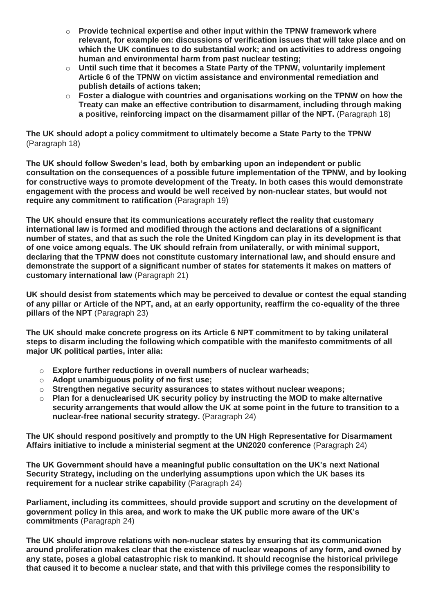- o **Provide technical expertise and other input within the TPNW framework where relevant, for example on: discussions of verification issues that will take place and on which the UK continues to do substantial work; and on activities to address ongoing human and environmental harm from past nuclear testing;**
- o **Until such time that it becomes a State Party of the TPNW, voluntarily implement Article 6 of the TPNW on victim assistance and environmental remediation and publish details of actions taken;**
- o **Foster a dialogue with countries and organisations working on the TPNW on how the Treaty can make an effective contribution to disarmament, including through making a positive, reinforcing impact on the disarmament pillar of the NPT.** (Paragraph 18)

**The UK should adopt a policy commitment to ultimately become a State Party to the TPNW** (Paragraph 18)

**The UK should follow Sweden's lead, both by embarking upon an independent or public consultation on the consequences of a possible future implementation of the TPNW, and by looking for constructive ways to promote development of the Treaty. In both cases this would demonstrate engagement with the process and would be well received by non-nuclear states, but would not require any commitment to ratification** (Paragraph 19)

**The UK should ensure that its communications accurately reflect the reality that customary international law is formed and modified through the actions and declarations of a significant number of states, and that as such the role the United Kingdom can play in its development is that of one voice among equals. The UK should refrain from unilaterally, or with minimal support, declaring that the TPNW does not constitute customary international law, and should ensure and demonstrate the support of a significant number of states for statements it makes on matters of customary international law** (Paragraph 21)

**UK should desist from statements which may be perceived to devalue or contest the equal standing of any pillar or Article of the NPT, and, at an early opportunity, reaffirm the co-equality of the three pillars of the NPT** (Paragraph 23)

**The UK should make concrete progress on its Article 6 NPT commitment to by taking unilateral steps to disarm including the following which compatible with the manifesto commitments of all major UK political parties, inter alia:**

- o **Explore further reductions in overall numbers of nuclear warheads;**
- o **Adopt unambiguous polity of no first use;**
- o **Strengthen negative security assurances to states without nuclear weapons;**
- o **Plan for a denuclearised UK security policy by instructing the MOD to make alternative security arrangements that would allow the UK at some point in the future to transition to a nuclear-free national security strategy.** (Paragraph 24)

**The UK should respond positively and promptly to the UN High Representative for Disarmament Affairs initiative to include a ministerial segment at the UN2020 conference** (Paragraph 24)

**The UK Government should have a meaningful public consultation on the UK's next National Security Strategy, including on the underlying assumptions upon which the UK bases its requirement for a nuclear strike capability** (Paragraph 24)

**Parliament, including its committees, should provide support and scrutiny on the development of government policy in this area, and work to make the UK public more aware of the UK's commitments** (Paragraph 24)

**The UK should improve relations with non-nuclear states by ensuring that its communication around proliferation makes clear that the existence of nuclear weapons of any form, and owned by any state, poses a global catastrophic risk to mankind. It should recognise the historical privilege that caused it to become a nuclear state, and that with this privilege comes the responsibility to**